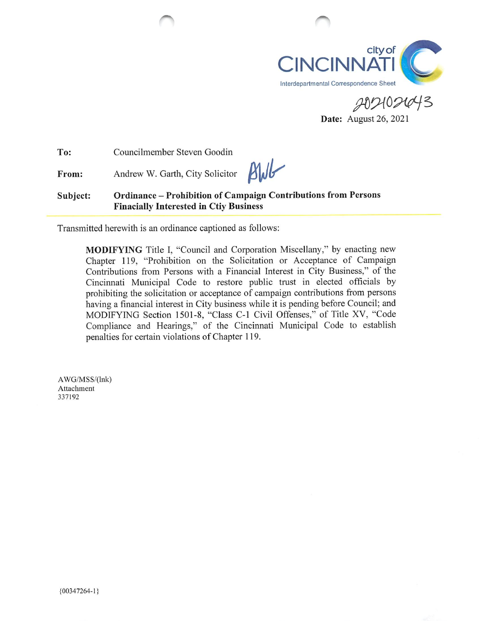

Date: August 26, 2021

To: Councilmember Steven Goodin

From: Andrew W. Garth, City Solicitor

 $B$ WB

Subject: Ordinance - Prohibition of Campaign Contributions from Persons Finacially Interested in Ctiy Business

Transmitted herewith is an ordinance captioned as follows:

MODIFYING Title 1, "Council and Corporation Miscellany," by enacting new Chapter 119, "Prohibition on the Solicitation or Acceptance of Campaign Contributions from Persons with a Financial Interest in City Business," of the Cincinnati Municipal Code to restore public trust in elected officials by prohibiting the solicitation or acceptance of campaign contributions from persons having a financial interest in City business while it is pending before Council; and MODIFYING Section 1501-8, "Class C-1 Civil Offenses," of Title XV, "Code Compliance and Hearings," of the Cincinnati Municipal Code to establish penalties for certain violations of Chapter 119.

AWG/MSS/(lnk) Attachment 337192